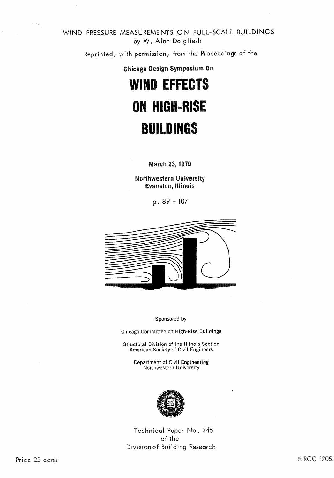WIND PRESSURE MEASUREMENTS ON FULL-SCALE BUILDINGS by W, Alan Dalgliesh

Reprinted, with permission, from the Proceedings of the

Chicago Design Symposium On

# **WIND EFFECTS ON HIGH-RISE BUILDINGS**

**March 23, 1970** 

**Northwestern University Evanston, Illinois** 

 $p.89 - 107$ 



Sponsored by

Chicago Committee on High-Rise Buildings

Structural Division of the Illinois Section American Society of Civil Engineers

Department of Civil Engineering Northwestern University



Technical Paper No. 34 of the Division of Building Research

**NRCC 1205:**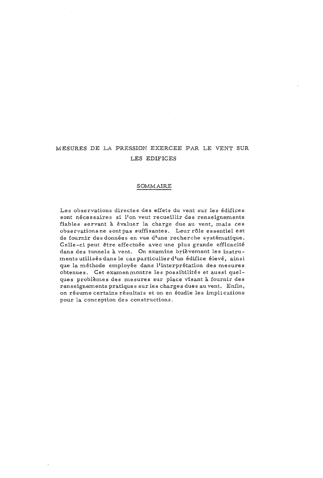## MESURES DE LA PRESSION EXERCEE PAR LE VENT SUR LES EDIFICES

#### SOMMAIRE

Les observations directes des effets du vent sur les édifices sont nécessaires si l'on veut recueillir des renseignements fiables servant *B* kvaluer la charge due au vent, mais ces observations ne sont pas suffisantes. Leur rôle essentiel est de fournir des données en vue d'une recherche systématique. Celle-ci peut être effectuée avec une plus grande efficacité dans des tunnels à vent. On examine brièvement les instruments utilisés dans le cas particulier d'un édifice élevé, ainsi que la méthode employée dans l'interprétation des mesures obtenues. Cet examenmontre les possibilités et aussi quelques problemes des mesures sur place visant **B** fournir des renseignements pratiques sur les charges dues au vent, Enfin, on résume certains résultats et on en étudie les implications pour la conception des constructions.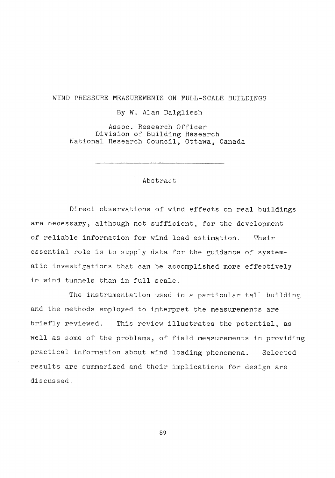## WIND PRESSURE MEASUREMENTS ON FULL-SCALE BUILDINGS

#### By W. Alan Dalgliesh

Assoc. Research Officer Division of Building Research National Research Council, Ottawa, Canada

Abstract

Direct observations of wind effects on real buildings are necessary, although not sufficient, for the development of reliable information for wind load estimation. Their essential role is to supply ata for the guidance of systematic investigations that can be accomplished more effectively in wind tunnels than in full scale.

The instrumentation used in a particular tall building and the methods employed to interpret the measurements are briefly reviewed. This review illustrates the potential, as well as some of the problems, of field measurements in providing practical information about wind loading phenomena. Selected results are summarized and their implications for design are discussed,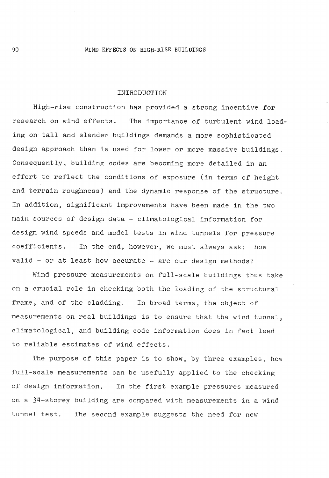#### INTRODUCTION

igh-rise construction has provided a strong incentive for research on wind effects, The importance of turbulent wind loading on tall and slender buildings demands a more sophisticated design approach than is used for lower or more massive buildings, Consequently, building codes are becoming more detailed in an effort to reflect the conditions of exposure (in terms of height and terrain roughness) and the dynamic response of the structure. In addition, significant improvements have been made in the two main sources of design data - climatological information for design wind speeds and model tests in wind tunnels for pressure coefficients. In the end, however, we must always ask: how valid - or at least how accurate - are our design methods?

Wind pressure measurements on full-scale buildings thus take on a crucial role in checking both the loading of the structural frame, and of the cladding. In broad terms, the object of measurements on real buildings is to ensure that the wind tunnel, climatological, and building code information does in to reliable estimates of wind effects.

The purpose of this paper is to show, by three examples, how full-scale measurements can be usefully applied to the checking of design information. In the first example pressures measured on a  $34$ -storey building are compared with measurements in a wind tunnel test. The second example suggests the need for new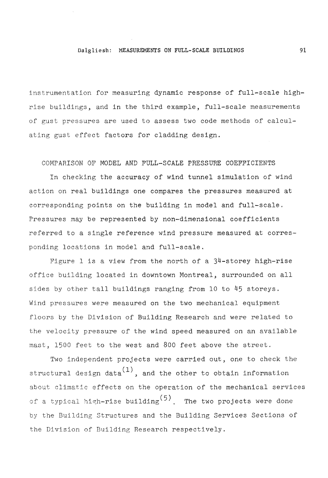## Dalgliesh: **MEASUREMENTS ON FULL-SCALE BUILDINGS**

instrumentation for measuring dynamic response of full-scale highrise buildings, and in the third example, full-scale measurements of gust pressures are used to assess two code methods of calculating gust effect factors for cladding design.

COMPARISON OF MODEL AND FULL-SCALE PRESSURE COEFFICIENTS

In checking the accuracy of wind tunnel simulation of wind action on real buildings one compares the pressures measured at corresponding points on the building in model and full-scale, Pressures may be represented by non-dimensional coefficients referred to a single reference wind pressure measured at corresponding locations in model and full-scale,

Figure 1 is a view from the north of a 34-storey high-rise office building located in downtown Montreal, surrounded on all sides by other tall buildings ranging from 10 to 45 storeys, Wind pressures were measured on the two mechanical equipment floors by the Division of Building Research and were related to the velocity pressure of the wind speed measured on an available mast, 1500 feet to the west and 800 feet above the street.

Two independent projects were carried out, one to cheek the structural design data $(1)$ , and the other to obtain information about climatic effects on the operation of the mechanical services of a typical high-rise building<sup>(5)</sup>. The two projects were done by the Building Structures and the Building Services Sections of the Division of Building Research respectively.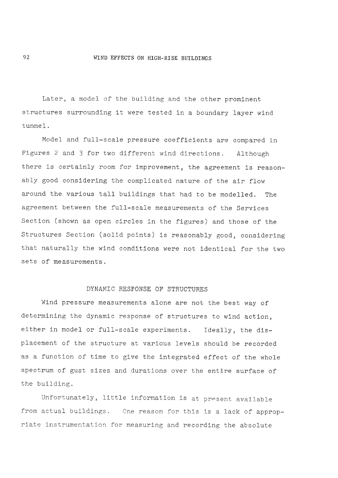#### WIND **EFFECTS** ON HIGH-RISE BUILDINGS

Later, a model of the building and the other prominent structures surrounding it were tested in a boundary layer wind tunnel.

Model and full-scale pressure coefficients are compared in Figures 2 and *3* for two different wind directions, Although there is certainly room for improvement, the agreement is reasonably good considering the complicated nature of the air flow around the various tall buildings that had to be modelled, The agreement between the full-scale measurements of the Services Section (shown as open circles in the figures) and those of the Structures Section (solid points) is reasonably good, considering that naturally the wind conditions were not identical for the two sets of measurements,

#### DYNAMIC RESPONSE OF STRUCTURES

Wind pressure measurements alone are not the best way of determining the dynamic response of structures to wind action, either in model or full-scale experiments, Ideally, the displacement of the structure at various levels should be recorded as a function of time to give the integrated effect of the whole spectrum of gust sizes and durations over the entire surface of the building,

Unfortunately, little information is at present available from actual buildings. One reason for this is a lack of appropriate instrumentation for measuring and recording the absolute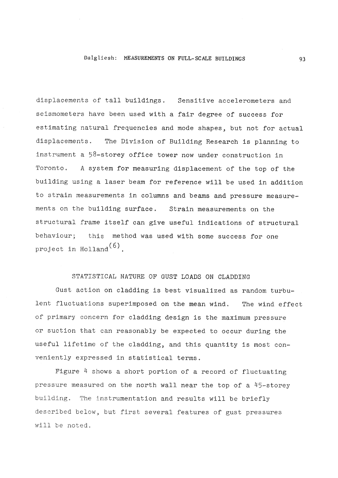## Dalgliesh: MEASUREMENTS ON FULL-SCALE BUILDINGS

displacements of tall buildings. Sensitive accelerometers and seismometers have been used with a fair degree of success for estimating natural frequencies and mode shapes, but not for actual displacements, The Division of Building Research is planning to instrument a 58-storey office tower now under construction in Toronto. A system for measuring displacement of the top of the building using a laser beam for reference will be used in addition to strain measurements in columns and beams and pressure measurements on the building surface, Strain measurements on the structural frame itself can give useful indfcations of structural behaviour; this method was used with some success for one project in Holland $(6)$ .

## STATISTICAL NATURE OF GUST LOADS ON CLADDING

Gust action on cladding is best visualized as random turbulent fluctuations superimposed on the mean wind, The wind effect of primary concern for cladding design is the maximum pressure or suction that can reasonably be expected to occur during the useful lifetime of the cladding, and this quantity is most conveniently expressed in statistical terms.

Figure 4 shows a short portion of a record of fluctuating pressure measured on the north wall near the top of a 45-storey building. The instrumentation and results will be briefly described below, but first several features of gust pressures will be noted,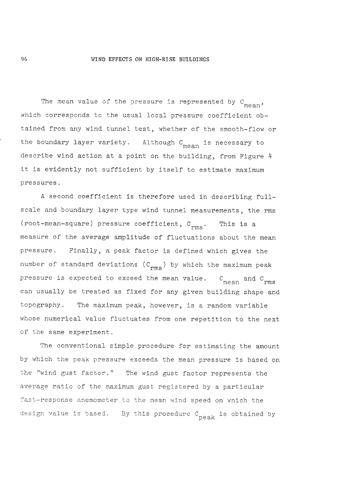#### WIND EFFECTS ON HIGH-RISE BUILDINGS

The mean value of the pressure is represented by  $C_{mean}$ , which corresponds to the usual local pressure coefficient obtained from any wind tunnel test, whether of the smooth-flow or the boundary layer variety. Although  $C_{mean}$  is necessary to describe wind action at a point on the building, from Figure 4 it is evidently not sufficient by itself to estimate maximum pressures,

A second coefficient is therefore used in describing fullscale and boundary layer type wind tunnel measurements, the rms (root-mean-square) pressure coefficient,  $C_{rms}$ . This is a measure of' the average amplitude of fluctuations about the mean pressure, Finally, a peak factor is defined which gives the number of standard deviations  $(C_{rms})$  by which the maximum peak pressure is expected to exceed the mean value.  $C_{\text{mean}}$  and can usually be treated as fixed for any given building shape and topography, The maximum peak, however, is a random variable whose numerical value fluctuates from one repetition to the next of the same experiment,

The conventional simple procedure for estimating the amount by which the peak pressure esceeds the mean pressure is based on the "wind gust factor." The wind gust factor represents the average ratio of the maximum gust registered by a particular fast-response anemometer to the mean wind speed on which the design value is based. By this procedure  $C_{\text{peak}}$  is obtained by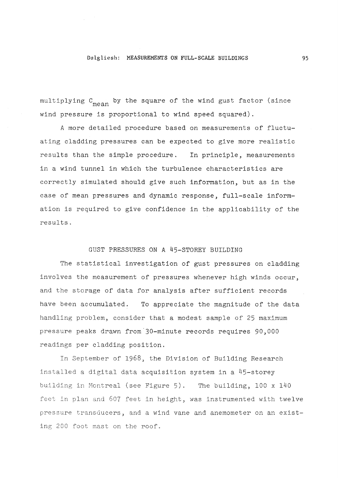#### Dalg liesh : MEASUREMENTS ON FULL- SCALE **BUILDINGS**

multiplying  $C_{\text{mean}}$  by the square of the wind gust factor (since wind pressure is proportional to wind speed squared).

A more detailed procedure based on measurements of fluctuating cladding pressures can be expected to give more realistic results than the simple procedure. In principle, measurements in a wind tunnel in which the turbulence characteristics are correctly simulated should give such information, but as in the case of mean pressures and dynamic response, full-scale information is required to give confidence in the applicability of the results,

## GUST PRESSURES ON A 45-STOREY BUILDING

The statistical investigation of gust pressures on cladding involves the measurement of pressures whenever high winds occur, and the storage of data for analysis after sufficient records have been accumulated, To appreciate the magnitude of the data handling problem, consider that a modest sample of 25 maximum pressure peaks drawn from-30-minute records requires 90,000 readings per cladding position,

In September of 1968, the Division of Building Research installed a digital data acquisition system in a 45-storey building in Montreal (see Figure 5), The building, 100 x 140 feet in plan and 607 feet in height, was instrumented with twelve pressure transducers, and a wind vane and anemometer on an existing 200 foot mast on the roof,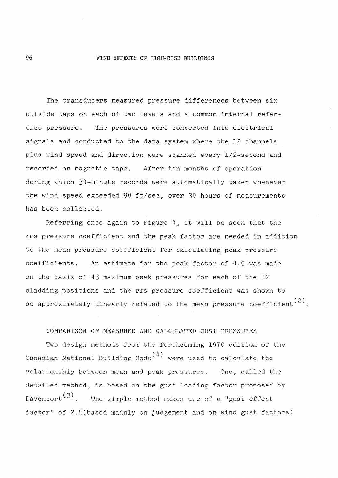#### WIND EFFECTS ON HIGH-RISE BUILDINGS

The transducers measured pressure differences between six outside taps on each of two levels and a common internal reference pressure, The pressures were converted into electrical signals and conducted to the data system where the 12 channels plus wind speed and direction were scanned every 1/2-second and recorded on magnetic tape, After ten months of operation during which 30-minute records were automatically taken whenever the wind speed exceeded 90 ft/sec, over 30 hours of measurements has been collected.

Referring once again to Figure 4, it will be seen that the rms pressure coefficient and the peak factor are needed in addition to the mean pressure coefficient for calculating peak pressure coefficients. An estimate for the peak factor of  $4.5$  was made on the basis of 43 maximum peak pressures for each of the 12 cladding positions and the rms pressure coefficient was shown to be approximately linearly related to the mean pressure coefficient<sup>(2)</sup>.

## COMPARISON OF MEASURED AND CALCULATED GUST

Two design methods from the forthcoming 1970 edition of the Canadian National Building Code<sup>(4)</sup> were used to calculate the relationship between mean and peak pressures. One, called the detalled method, is based on the gust loading factor proposed by Davenport<sup>(3)</sup>. The simple method makes use of a "gust effect factor<sup>8</sup> of 2.5(based mainly on judgement and on wind gust factors)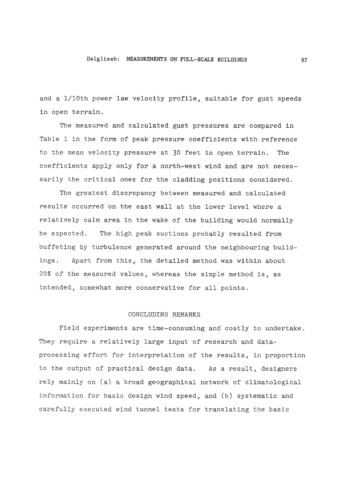#### Dalgliesh: MEASUREMENTS ON FULL-SCALE BUILDINGS

and a 1/10th power law velocity profile, suitable for gust speeds in open terrain,

The measured and calculated gust pressures are compared in Table 1 in the form of peak pressure coefficients with reference to the mean velocity pressure at 30 feet in open terrain. The coefficients apply only for a north-west wind and are not necessarily the critical ones for the cladding positions considered.

The greatest discrepancy between measured and calculated results occurred on the east wall at the lower level where a relatively calm area in the wake of the building would normally be expected, The high peak suctions probably resulted from buffeting by turbulence generated around the neighbouring buildings, Apart from this, the detailed method was within about 20% of the measured values, whereas the simple method is, ax intended, somewhat more conservative for all points.

#### CONCLUDING REMARKS

Field experiments are time-consuming and costly to undertake. They require a relatively large input of research and dataprocessing effort for interpretation of the results, in proportion to the output of practical design data. As a result, designers rely mainly on (a) a broad geographical network of climatological information for basic design wind speed, and (b) systematic and carefully executed wind tunnel tests for translating the basic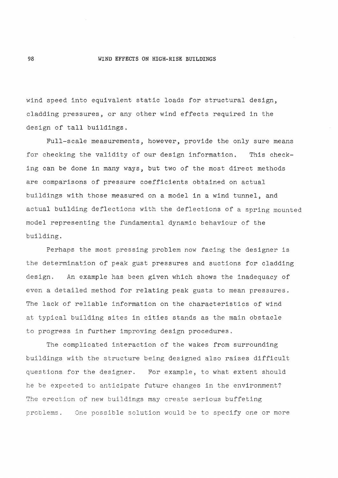#### **WIND** EFFECTS ON HIGH-RISE BUILDINGS

wind speed into equivalent static loads for structural design, cladding pressures, or any other wind effects required in the design of tall buildings,

Full-scale measurements, however, provide the only sure means for checking the validity of our design information. This checking can be done in many ways, but two of the most direct methods are comparisons of pressure coefficients obtained on actual buildings with those measured on a model in a wind tunnel, and actual bullding deflections with the deflections of a spring mounted model representing the fundamental dynamic behaviour of the building.

Perhaps the most pressing problem now facing the designer is the determination of peak gust pressures and suctions for cladding design, An example has been given which shows the inadequacy of even a detailed method for relating peak gusts to mean pressures, The lack of reliable information on the characteristics of wind at typical building sites in cities stands as the main obstacle to progress in further improving design procedures,

The complicated interaction of the wakes from surrounding buildings with the structure being designed also raises difficult questions for the designer. For example, to what extent should he be expected to anticipate future changes in the environment? The erection of new buildings may create serious buffeting problems. One possible solution would be to specify one or more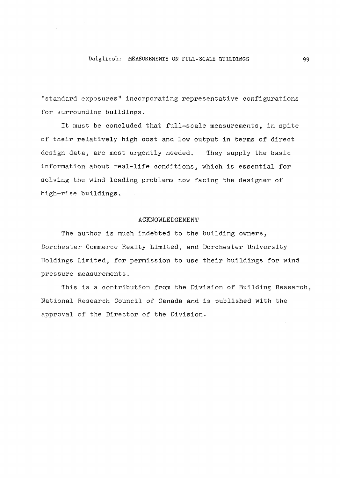#### Dalgliesh: MEASUREMENTS ON FULL-SCALE BUILDINGS

"standard exposures" incorporating representative configurations for surrounding buildings.

It must be concluded that full-scale measurements, in spite of their relatively high cost and low output in terms of direct design data, are most urgently needed, They supply the basic information about real-life conditions, which is essential for solving the wind loading problems now facing the designer of high-rise buildings.

#### **ACKNOWLEDGEMENT**

The author is much indebted to the building owners, Dorchester Commerce Realty Limited, and Dorchester Universit Holdings Limited, for permission to use their buildings for wind pressure measurements.

This is a contribution from the Division of Building Research, ational Research Council of Canada and is published with the approval of the Director of the Division.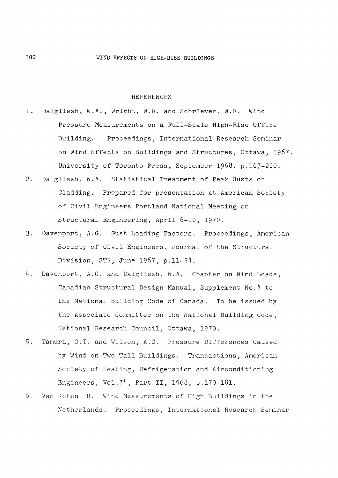#### REFERENCES

- 1. Dalgliesh, W.A., Wright, W.R, and Schriever, W.R. Wind Pressure Measurements on a Full-Scale High-Rise Office Building. Proceedings, International Research Seminar on Wind Effects on Buildings and Structures, Ottawa, 1967. University of Toronto Press, September 1968, p.167-200,
- 2, Dalgliesh, W.A, Statistical Treatment of Peak Gusts on Cladding. Prepared for presentation at American Society of Civil Engineers Portland National Meeting on Structural Engineering, April 6-10, 1970,
- 3, Davenport, A,G, Gust Loading Factors, Proceedings, American Society of Civil Engineers, Journal of the Structural Division, ST3, June 1967, p.11-34,
- 4, Davenport, A,G, and Dalgliesh, W.A, Chapter on Wind Loads, Canadian Structural Design Manual, Supplement No.4 to the National Building Code of Canada, To be issued by the Associate Committee on the National Building Code, National Research Council, Ottawa, 1970.
- 5. Tamura, G.T. and Wilson, A.G. Pressure Differences Caused by Wind on Two Tall Buildings. Transactions, American Society of Heating, Refrigeration and Airconditioning Engineers, Vol,74, Part 11, 1968, p.170-1
- 6, Van Koten, H, Wind Measurements of High Buildlngs in the Netherlands. Proceedings, International Research Seminar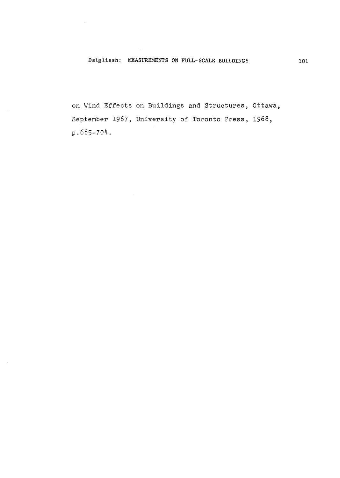**on Wind Effects on Buildings and Structures, Ottawa, September 1967, University of Toronto Press,** 1968, p.685-704.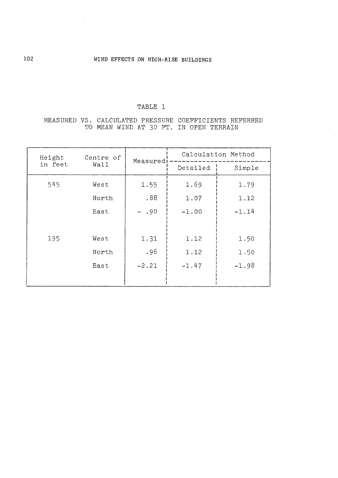## TABLE 1

## MEASURED VS. CALCULATED PRESSURE COEFFICIENTS REFERRED TO MEAN WIND AT 30 FT. IN OPEN TERRAIN

| Height<br>in feet | Centre of<br>Wall | Measured | Calculation Method |         |
|-------------------|-------------------|----------|--------------------|---------|
|                   |                   |          | Detailed           | Simple  |
| 545               | West              | 1.55     | 1.69               | 1.79    |
|                   | North             | .88      | 1.07               | 1.12    |
|                   | East              | $-.90$   | $-1.00$            | $-1.14$ |
|                   |                   |          |                    |         |
| 195               | West              | 1.31     | 1.12               | 1.50    |
|                   | North             | .96      | 1.12               | 1,50    |
|                   | East              | $-2.21$  | $-1.47$            | $-1.98$ |
|                   |                   |          |                    |         |

 $\bar{\gamma}$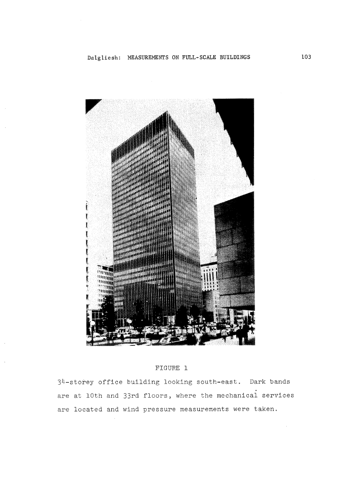

## FIGURE 1

34-storey office building looking south-east. Dark bands are at 10th and 33rd floors, where the mechanical services are located and wind pressure measurements were taken.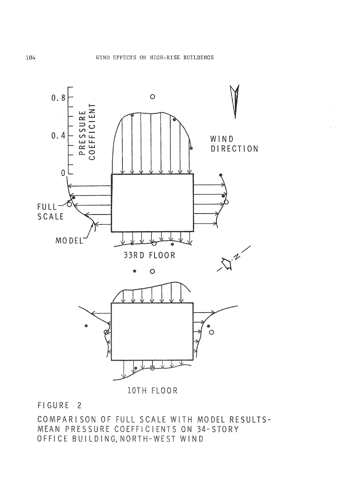

FIGURE 2

COMPARISON OF FULL SCALE WITH MODEL RESULTS-MEAN PRESSURE COEFFICIENTS ON 34-STORY OFFICE BUILDING, NORTH-WEST WIND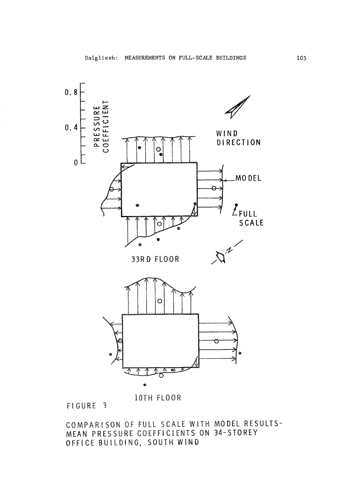

**10TH FLOOR** 

FIGURE 3

COMPARISON OF FULL SCALE WITH MODEL RESULTS-MEAN PRESSURE COEFFICIENTS ON 34-STOREY OFFICE BUILDING, SOUTH WIND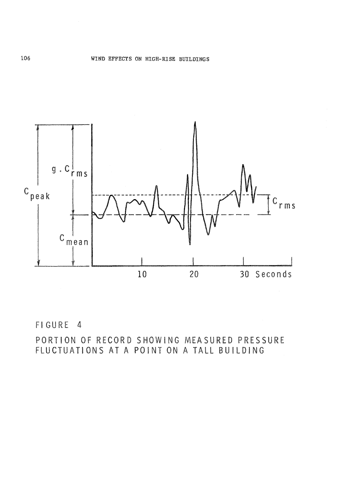

FIGURE 4

PORTION OF RECORD SHOWING MEASURED PRESSURE FLUCTUATIONS AT A POINT ON A TALL BUILDING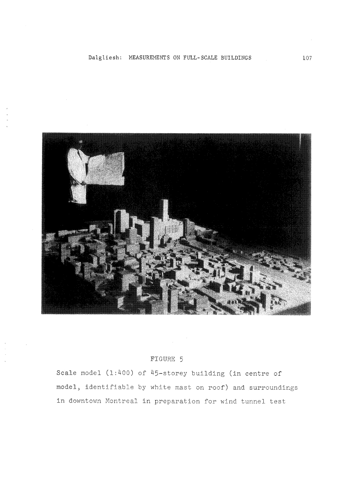

# FIGURE 5

Scale model (1:400) of 45-storey building (in centre of model, identifiable by white mast on roof) and surroundings in downtown Montreal in preparation for wind tunnel test